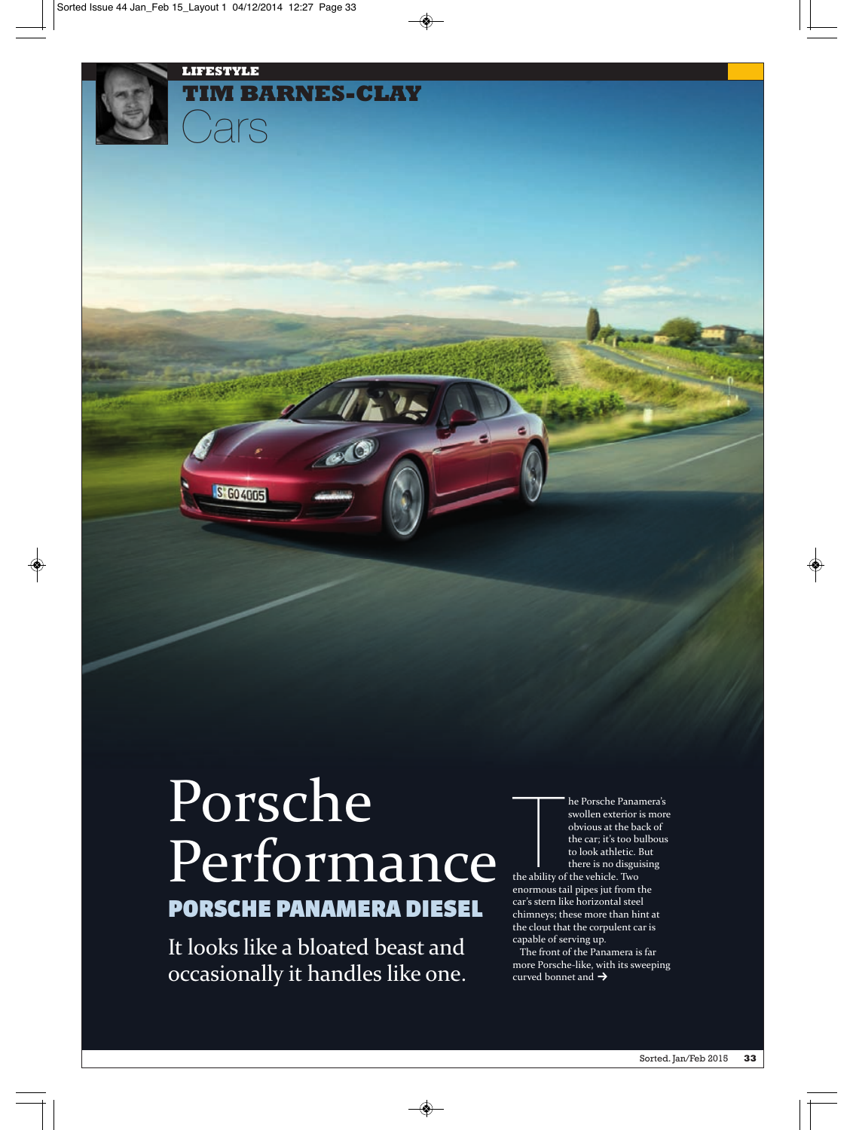

**LIFESTYLE**

 $\overline{C}$ 

S GO 4005

**TIM BARNES-CLAY**

It looks like a bloated beast and occasionally it handles like one. **EXECUTE 18 THE ABILIT SERVIDE SERVIDE SERVIDE SERVIDE SERVIDE SERVIDE SERVIDE SERVIDE SERVIDE SERVIDE SERVIDE SERVIDE SERVIDE SERVIDE SERVIDE SERVIDE SERVIDE SERVIDE SERVIDE SERVIDE SERVIDE SERVIDE SERVIDE SERVIDE SERVIDE** he Porsche Panamera's swollen exterior is more obvious at the back of the car; it's too bulbous to look athletic. But there is no disguising

enormous tail pipes jut from the car's stern like horizontal steel chimneys; these more than hint at the clout that the corpulent car is capable of serving up.

The front of the Panamera is far more Porsche‐like, with its sweeping curved bonnet and  $\rightarrow$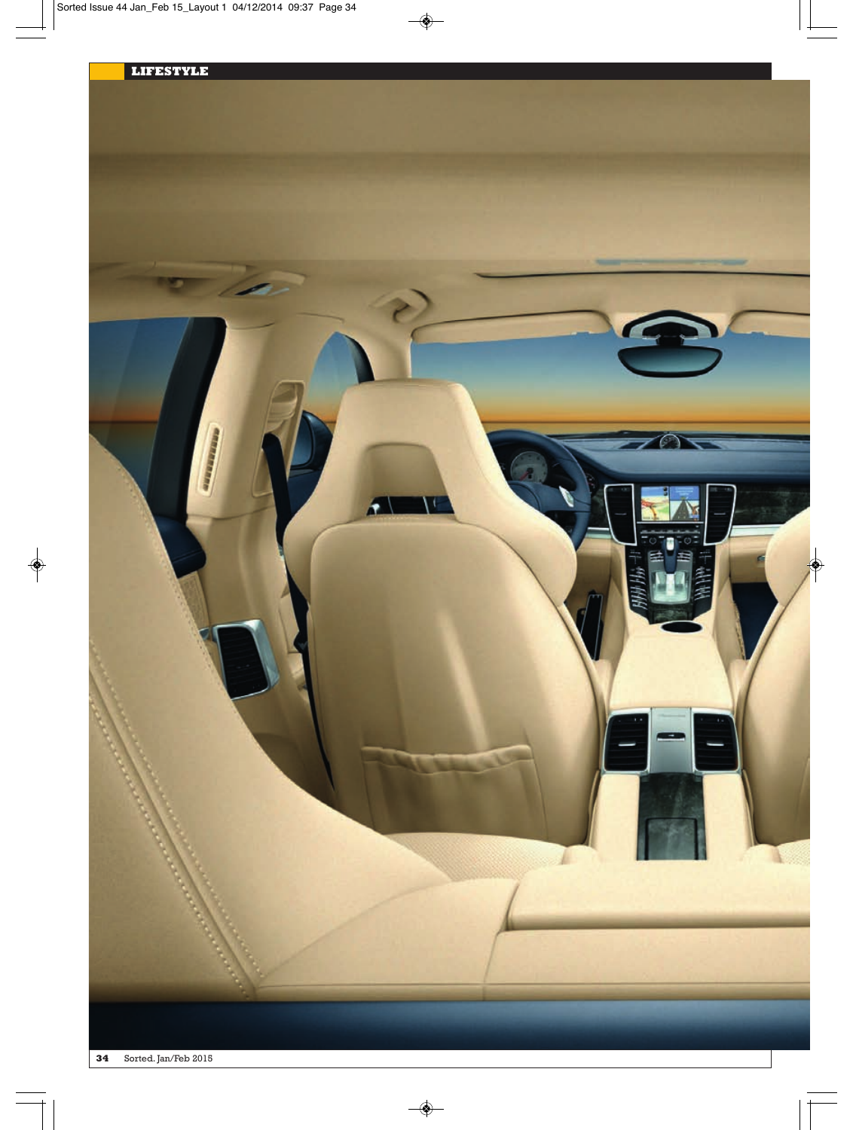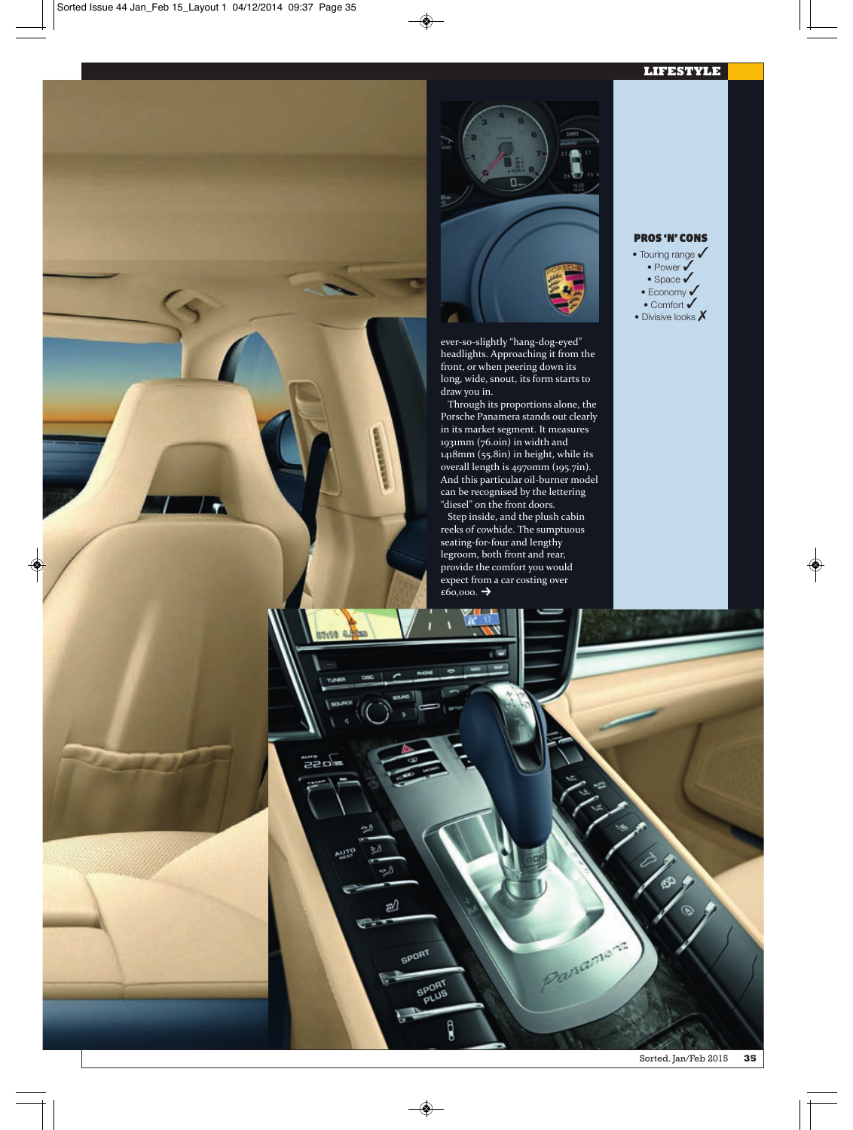## **LIFESTYLE**



ever‐so‐slightly "hang‐dog‐eyed" headlights. Approaching it from the front, or when peering down its long, wide, snout, its form starts to draw you in.

Through its proportions alone, the Porsche Panamera stands out clearly in its market segment. It measures 1931mm (76.0in) in width and 1418mm (55.8in) in height, while its overall length is 4970mm (195.7in). And this particular oil‐burner model can be recognised by the lettering "diesel" on the front doors.

Step inside, and the plush cabin reeks of cowhide. The sumptuous seating‐for‐four and lengthy legroom, both front and rear, provide the comfort you would expect from a car costing over  $E60,000.$   $\rightarrow$ 

r.

Dive e.htm

220

**AUTE** 

æ)

**SPORT** 

**SPORT** 

g

## PROS 'N' CONS

• Touring range  $\checkmark$  $\bullet$  Power  $\checkmark$  $\bullet$  Space  $\checkmark$ • Economy  $\checkmark$  $\bullet$  Comfort  $\checkmark$ 

• Divisive looks  $\boldsymbol{X}$ 

Ranamans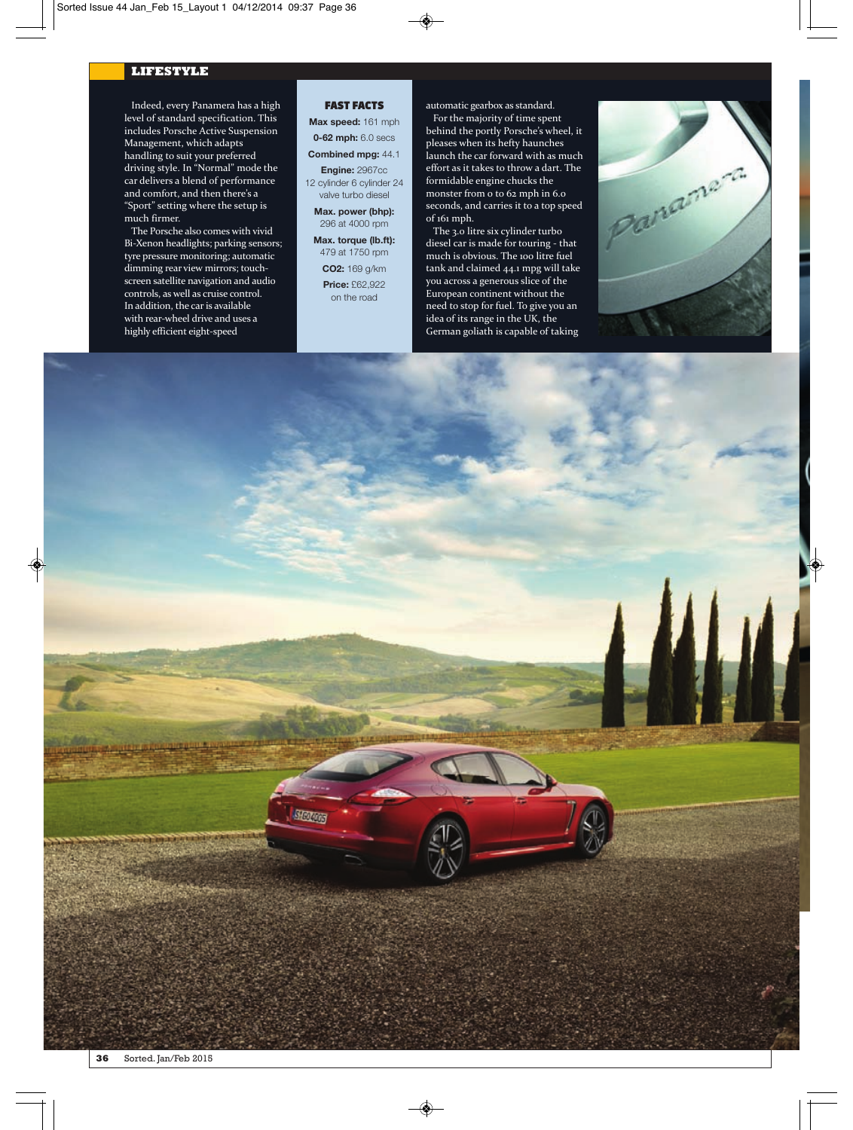## **LIFESTYLE**

Indeed, every Panamera has a high level of standard specification. This includes Porsche Active Suspension Management, which adapts handling to suit your preferred driving style. In "Normal" mode the car delivers a blend of performance and comfort, and then there's a "Sport" setting where the setup is much firmer.

The Porsche also comes with vivid Bi‐Xenon headlights; parking sensors; tyre pressure monitoring; automatic dimming rear view mirrors; touch‐ screen satellite navigation and audio controls, as well as cruise control. In addition, the car is available with rear-wheel drive and uses a highly efficient eight‐speed

## FAST FACTS

**Max speed:** 161 mph **0-62 mph:** 6.0 secs

**Combined mpg:** 44.1 **Engine:** 2967cc

12 cylinder 6 cylinder 24 valve turbo diesel

- **Max. power (bhp):** 296 at 4000 rpm
- **Max. torque (lb.ft):** 479 at 1750 rpm

**CO2:** 169 g/km **Price:** £62,922 on the road

Slovens

automatic gearbox as standard. For the majority of time spent behind the portly Porsche's wheel, it pleases when its hefty haunches launch the car forward with as much effort as it takes to throw a dart. The formidable engine chucks the monster from 0 to 62 mph in 6.0 seconds, and carries it to a top speed of 161 mph.

The 3.0 litre six cylinder turbo diesel car is made for touring ‐ that much is obvious. The 100 litre fuel tank and claimed 44.1 mpg will take you across a generous slice of the European continent without the need to stop for fuel. To give you an idea of its range in the UK, the German goliath is capable of taking